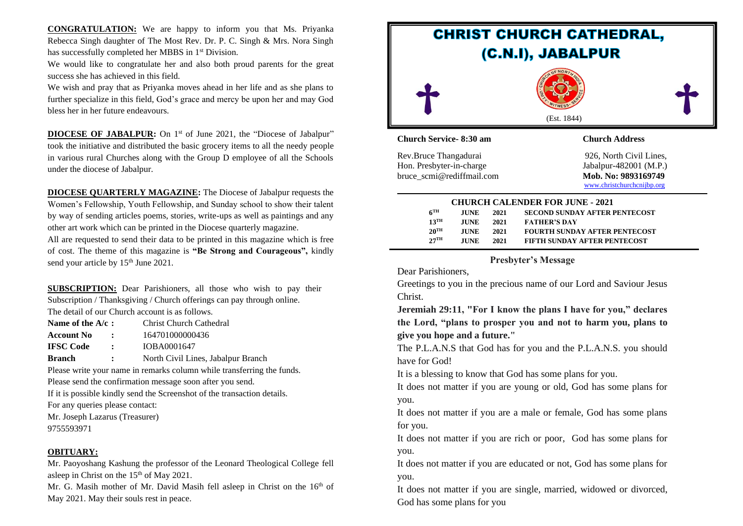**CONGRATULATION:** We are happy to inform you that Ms. Priyanka Rebecca Singh daughter of The Most Rev. Dr. P. C. Singh & Mrs. Nora Singh has successfully completed her MBBS in 1<sup>st</sup> Division.

We would like to congratulate her and also both proud parents for the great success she has achieved in this field.

We wish and pray that as Priyanka moves ahead in her life and as she plans to further specialize in this field, God's grace and mercy be upon her and may God bless her in her future endeavours.

**DIOCESE OF JABALPUR:** On 1<sup>st</sup> of June 2021, the "Diocese of Jabalpur" took the initiative and distributed the basic grocery items to all the needy people in various rural Churches along with the Group D employee of all the Schools under the diocese of Jabalpur.

**DIOCESE QUARTERLY MAGAZINE:** The Diocese of Jabalpur requests the Women's Fellowship, Youth Fellowship, and Sunday school to show their talent by way of sending articles poems, stories, write-ups as well as paintings and any other art work which can be printed in the Diocese quarterly magazine.

All are requested to send their data to be printed in this magazine which is free of cost. The theme of this magazine is **"Be Strong and Courageous",** kindly send your article by 15<sup>th</sup> June 2021.

**SUBSCRIPTION:** Dear Parishioners, all those who wish to pay their Subscription / Thanksgiving / Church offerings can pay through online. The detail of our Church account is as follows.

| Name of the $A/c$ : |                      | Christ Church Cathedral |
|---------------------|----------------------|-------------------------|
| <b>Account No</b>   | $\mathbf{r}$         | 164701000000436         |
| <b>IFSC Code</b>    | $\ddot{\phantom{a}}$ | IOBA0001647             |

**Branch :** North Civil Lines, Jabalpur Branch

Please write your name in remarks column while transferring the funds. Please send the confirmation message soon after you send.

If it is possible kindly send the Screenshot of the transaction details.

For any queries please contact:

Mr. Joseph Lazarus (Treasurer)

9755593971

#### **OBITUARY:**

Mr. Paoyoshang Kashung the professor of the Leonard Theological College fell asleep in Christ on the  $15<sup>th</sup>$  of May 2021.

Mr. G. Masih mother of Mr. David Masih fell asleep in Christ on the 16<sup>th</sup> of May 2021. May their souls rest in peace.



|                    | <b>CHURCH CALENDER FOR JUNE - 2021</b> |      |                                      |  |
|--------------------|----------------------------------------|------|--------------------------------------|--|
| $6^{\text{TH}}$    | <b>JUNE</b>                            | 2021 | <b>SECOND SUNDAY AFTER PENTECOST</b> |  |
| $13$ <sup>TH</sup> | <b>JUNE</b>                            | 2021 | <b>FATHER'S DAY</b>                  |  |
| $20^{\text{TH}}$   | <b>JUNE</b>                            | 2021 | <b>FOURTH SUNDAY AFTER PENTECOST</b> |  |
| $27^{\text{TH}}$   | <b>JUNE</b>                            | 2021 | <b>FIFTH SUNDAY AFTER PENTECOST</b>  |  |

## **Presbyter's Message**

Dear Parishioners,

Greetings to you in the precious name of our Lord and Saviour Jesus Christ.

**Jeremiah 29:11, "For I know the plans I have for you," declares the Lord, "plans to prosper you and not to harm you, plans to give you hope and a future."**

The P.L.A.N.S that God has for you and the P.L.A.N.S. you should have for God!

It is a blessing to know that God has some plans for you.

It does not matter if you are young or old, God has some plans for you.

It does not matter if you are a male or female, God has some plans for you.

It does not matter if you are rich or poor, God has some plans for you.

It does not matter if you are educated or not, God has some plans for you.

It does not matter if you are single, married, widowed or divorced, God has some plans for you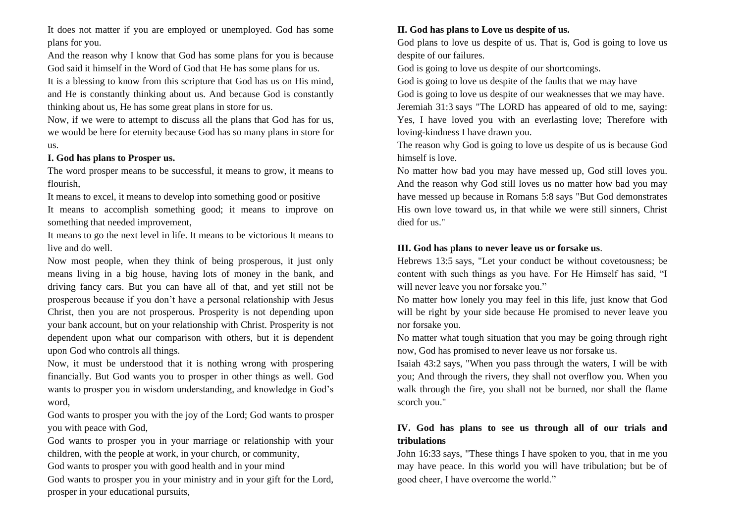It does not matter if you are employed or unemployed. God has some plans for you.

And the reason why I know that God has some plans for you is because God said it himself in the Word of God that He has some plans for us. It is a blessing to know from this scripture that God has us on His mind, and He is constantly thinking about us. And because God is constantly thinking about us, He has some great plans in store for us.

Now, if we were to attempt to discuss all the plans that God has for us, we would be here for eternity because God has so many plans in store for us.

### **I. God has plans to Prosper us.**

The word prosper means to be successful, it means to grow, it means to flourish,

It means to excel, it means to develop into something good or positive It means to accomplish something good; it means to improve on something that needed improvement,

It means to go the next level in life. It means to be victorious It means to live and do well.

Now most people, when they think of being prosperous, it just only means living in a big house, having lots of money in the bank, and driving fancy cars. But you can have all of that, and yet still not be prosperous because if you don't have a personal relationship with Jesus Christ, then you are not prosperous. Prosperity is not depending upon your bank account, but on your relationship with Christ. Prosperity is not dependent upon what our comparison with others, but it is dependent upon God who controls all things.

Now, it must be understood that it is nothing wrong with prospering financially. But God wants you to prosper in other things as well. God wants to prosper you in wisdom understanding, and knowledge in God's word,

God wants to prosper you with the joy of the Lord; God wants to prosper you with peace with God,

God wants to prosper you in your marriage or relationship with your children, with the people at work, in your church, or community,

God wants to prosper you with good health and in your mind

God wants to prosper you in your ministry and in your gift for the Lord, prosper in your educational pursuits,

# **II. God has plans to Love us despite of us.**

God plans to love us despite of us. That is, God is going to love us despite of our failures.

God is going to love us despite of our shortcomings.

God is going to love us despite of the faults that we may have

God is going to love us despite of our weaknesses that we may have. Jeremiah 31:3 says "The LORD has appeared of old to me, saying: Yes, I have loved you with an everlasting love; Therefore with loving-kindness I have drawn you.

The reason why God is going to love us despite of us is because God himself is love.

No matter how bad you may have messed up, God still loves you. And the reason why God still loves us no matter how bad you may have messed up because in Romans 5:8 says "But God demonstrates His own love toward us, in that while we were still sinners, Christ died for us."

# **III. God has plans to never leave us or forsake us**.

Hebrews 13:5 says, "Let your conduct be without covetousness; be content with such things as you have. For He Himself has said, "I will never leave you nor forsake you."

No matter how lonely you may feel in this life, just know that God will be right by your side because He promised to never leave you nor forsake you.

No matter what tough situation that you may be going through right now, God has promised to never leave us nor forsake us.

Isaiah 43:2 says, "When you pass through the waters, I will be with you; And through the rivers, they shall not overflow you. When you walk through the fire, you shall not be burned, nor shall the flame scorch you."

# **IV. God has plans to see us through all of our trials and tribulations**

John 16:33 says, "These things I have spoken to you, that in me you may have peace. In this world you will have tribulation; but be of good cheer, I have overcome the world."